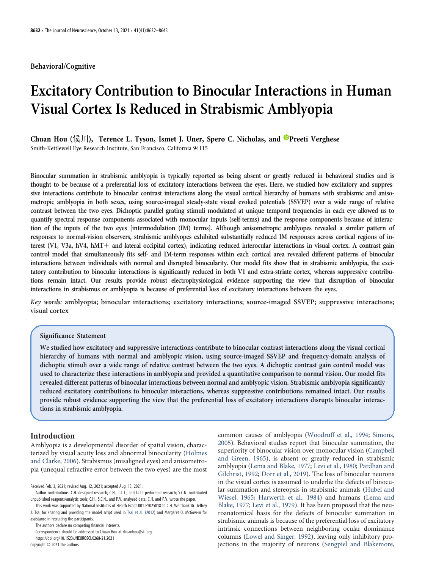#### Behavioral/Cognitive

# Excitatory Contribution to Binocular Interactions in Human Visual Cortex Is Reduced in Strabismic Amblyopia

Chuan Hou (侯川), Terence L. Tyson, Ismet J. Uner, Spero C. Nicholas, and <sup>no</sup>[Preeti Verghese](https://orcid.org/0000-0002-4683-5025) Smith-Kettlewell Eye Research Institute, San Francisco, California 94115

Binocular summation in strabismic amblyopia is typically reported as being absent or greatly reduced in behavioral studies and is thought to be because of a preferential loss of excitatory interactions between the eyes. Here, we studied how excitatory and suppressive interactions contribute to binocular contrast interactions along the visual cortical hierarchy of humans with strabismic and anisometropic amblyopia in both sexes, using source-imaged steady-state visual evoked potentials (SSVEP) over a wide range of relative contrast between the two eyes. Dichoptic parallel grating stimuli modulated at unique temporal frequencies in each eye allowed us to quantify spectral response components associated with monocular inputs (self-terms) and the response components because of interaction of the inputs of the two eyes [intermodulation (IM) terms]. Although anisometropic amblyopes revealed a similar pattern of responses to normal-vision observers, strabismic amblyopes exhibited substantially reduced IM responses across cortical regions of interest (V1, V3a, hV4, hMT+ and lateral occipital cortex), indicating reduced interocular interactions in visual cortex. A contrast gain control model that simultaneously fits self- and IM-term responses within each cortical area revealed different patterns of binocular interactions between individuals with normal and disrupted binocularity. Our model fits show that in strabismic amblyopia, the excitatory contribution to binocular interactions is significantly reduced in both V1 and extra-striate cortex, whereas suppressive contributions remain intact. Our results provide robust electrophysiological evidence supporting the view that disruption of binocular interactions in strabismus or amblyopia is because of preferential loss of excitatory interactions between the eyes.

Key words: amblyopia; binocular interactions; excitatory interactions; source-imaged SSVEP; suppressive interactions; visual cortex

# Significance Statement

We studied how excitatory and suppressive interactions contribute to binocular contrast interactions along the visual cortical hierarchy of humans with normal and amblyopic vision, using source-imaged SSVEP and frequency-domain analysis of dichoptic stimuli over a wide range of relative contrast between the two eyes. A dichoptic contrast gain control model was used to characterize these interactions in amblyopia and provided a quantitative comparison to normal vision. Our model fits revealed different patterns of binocular interactions between normal and amblyopic vision. Strabismic amblyopia significantly reduced excitatory contributions to binocular interactions, whereas suppressive contributions remained intact. Our results provide robust evidence supporting the view that the preferential loss of excitatory interactions disrupts binocular interactions in strabismic amblyopia.

#### Introduction

Amblyopia is a developmental disorder of spatial vision, characterized by visual acuity loss and abnormal binocularity ([Holmes](#page-11-0) [and Clarke, 2006](#page-11-0)). Strabismus (misaligned eyes) and anisometropia (unequal refractive error between the two eyes) are the most common causes of amblyopia ([Woodruff et al., 1994](#page-11-1); [Simons,](#page-11-2) [2005\)](#page-11-2). Behavioral studies report that binocular summation, the superiority of binocular vision over monocular vision ([Campbell](#page-11-3) [and Green, 1965](#page-11-3)), is absent or greatly reduced in strabismic amblyopia ([Lema and Blake, 1977](#page-11-4); [Levi et al., 1980](#page-11-5); [Pardhan and](#page-11-6) [Gilchrist, 1992](#page-11-6); [Dorr et al., 2019\)](#page-11-7). The loss of binocular neurons in the visual cortex is assumed to underlie the defects of binocular summation and stereopsis in strabismic animals ([Hubel and](#page-11-8) [Wiesel, 1965;](#page-11-8) [Harwerth et al., 1984](#page-11-9)) and humans ([Lema and](#page-11-4) [Blake, 1977;](#page-11-4) [Levi et al., 1979\)](#page-11-10). It has been proposed that the neuroanatomical basis for the defects of binocular summation in strabismic animals is because of the preferential loss of excitatory intrinsic connections between neighboring ocular dominance columns [\(Lowel and Singer, 1992](#page-11-11)), leaving only inhibitory projections in the majority of neurons ([Sengpiel and Blakemore,](#page-11-12)

Received Feb. 3, 2021; revised Aug. 12, 2021; accepted Aug. 13, 2021.

Author contributions: C.H. designed research; C.H., T.L.T., and I.J.U. performed research; S.C.N. contributed unpublished reagents/analytic tools; C.H., S.C.N., and P.V. analyzed data; C.H. and P.V. wrote the paper.

This work was supported by National Institutes of Health Grant R01-EY025018 to C.H. We thank Dr. Jeffrey J. Tsai for sharing and providing the model script used in [Tsai et al. \(2012\)](#page-11-13) and Margaret Q. McGovern for assistance in recruiting the participants.

The authors declare no competing financial interests.

Correspondence should be addressed to Chuan Hou at [chuanhou@ski.org](mailto:chuanhou@ski.org).

https://doi.org/10.1523/JNEUROSCI.0268-21.2021

Copyright © 2021 the authors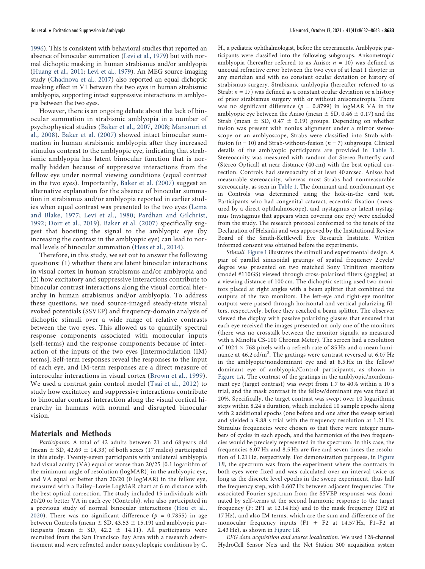[1996\)](#page-11-12). This is consistent with behavioral studies that reported an absence of binocular summation [\(Levi et al., 1979\)](#page-11-10) but with normal dichoptic masking in human strabismus and/or amblyopia [\(Huang et al., 2011](#page-11-14); [Levi et al., 1979](#page-11-10)). An MEG source-imaging study [\(Chadnova et al., 2017](#page-11-15)) also reported an equal dichoptic masking effect in V1 between the two eyes in human strabismic amblyopia, supporting intact suppressive interactions in amblyopia between the two eyes.

However, there is an ongoing debate about the lack of binocular summation in strabismic amblyopia in a number of psychophysical studies ([Baker et al., 2007,](#page-10-0) [2008;](#page-10-1) [Mansouri et](#page-11-16) [al., 2008](#page-11-16)). [Baker et al. \(2007\)](#page-10-0) showed intact binocular summation in human strabismic amblyopia after they increased stimulus contrast to the amblyopic eye, indicating that strabismic amblyopia has latent binocular function that is normally hidden because of suppressive interactions from the fellow eye under normal viewing conditions (equal contrast in the two eyes). Importantly, [Baker et al. \(2007\)](#page-10-0) suggest an alternative explanation for the absence of binocular summation in strabismus and/or amblyopia reported in earlier studies when equal contrast was presented to the two eyes [\(Lema](#page-11-4) [and Blake, 1977;](#page-11-4) [Levi et al., 1980;](#page-11-5) [Pardhan and Gilchrist,](#page-11-6) [1992](#page-11-6); [Dorr et al., 2019\)](#page-11-7). [Baker et al. \(2007\)](#page-10-0) specifically suggest that boosting the signal to the amblyopic eye (by increasing the contrast in the amblyopic eye) can lead to normal levels of binocular summation ([Hess et al., 2014\)](#page-11-17).

Therefore, in this study, we set out to answer the following questions: (1) whether there are latent binocular interactions in visual cortex in human strabismus and/or amblyopia and (2) how excitatory and suppressive interactions contribute to binocular contrast interactions along the visual cortical hierarchy in human strabismus and/or amblyopia. To address these questions, we used source-imaged steady-state visual evoked potentials (SSVEP) and frequency-domain analysis of dichoptic stimuli over a wide range of relative contrasts between the two eyes. This allowed us to quantify spectral response components associated with monocular inputs (self-terms) and the response components because of interaction of the inputs of the two eyes [intermodulation (IM) terms]. Self-term responses reveal the responses to the input of each eye, and IM-term responses are a direct measure of interocular interactions in visual cortex ([Brown et al., 1999](#page-11-18)). We used a contrast gain control model ([Tsai et al., 2012\)](#page-11-13) to study how excitatory and suppressive interactions contribute to binocular contrast interaction along the visual cortical hierarchy in humans with normal and disrupted binocular vision.

# Materials and Methods

Participants. A total of 42 adults between 21 and 68 years old (mean  $\pm$  SD, 42.69  $\pm$  14.33) of both sexes (17 males) participated in this study. Twenty-seven participants with unilateral amblyopia had visual acuity (VA) equal or worse than 20/25 [0.1 logarithm of the minimum angle of resolution (logMAR)] in the amblyopic eye, and VA equal or better than 20/20 (0 logMAR) in the fellow eye, measured with a Bailey–Lovie LogMAR chart at 6 m distance with the best optical correction. The study included 15 individuals with 20/20 or better VA in each eye (Controls), who also participated in a previous study of normal binocular interactions ([Hou et al.,](#page-11-19) [2020](#page-11-19)). There was no significant difference ( $p = 0.7855$ ) in age between Controls (mean  $\pm$  SD, 43.53  $\pm$  15.19) and amblyopic participants (mean  $\pm$  SD, 42.2  $\pm$  14.11). All participants were recruited from the San Francisco Bay Area with a research advertisement and were refracted under noncycloplegic conditions by C. H., a pediatric ophthalmologist, before the experiments. Amblyopic participants were classified into the following subgroups. Anisometropic amblyopia (hereafter referred to as Aniso;  $n = 10$ ) was defined as unequal refractive error between the two eyes of at least 1 diopter in any meridian and with no constant ocular deviation or history of strabismus surgery. Strabismic amblyopia (hereafter referred to as Strab;  $n = 17$ ) was defined as a constant ocular deviation or a history of prior strabismus surgery with or without anisometropia. There was no significant difference ( $p = 0.8799$ ) in logMAR VA in the amblyopic eye between the Aniso (mean  $\pm$  SD, 0.46  $\pm$  0.17) and the Strab (mean  $\pm$  SD, 0.47  $\pm$  0.19) groups. Depending on whether fusion was present with nonius alignment under a mirror stereoscope or an amblyoscope, Strabs were classified into Strab-withfusion ( $n = 10$ ) and Strab-without-fusion ( $n = 7$ ) subgroups. Clinical details of the amblyopic participants are provided in [Table 1](#page-2-0). Stereoacuity was measured with random dot Stereo Butterfly card (Stereo Optical) at near distance (40 cm) with the best optical correction. Controls had stereoacuity of at least 40 arcsec. Anisos had measurable stereoacuity, whereas most Strabs had nonmeasurable stereoacuity, as seen in [Table 1.](#page-2-0) The dominant and nondominant eye in Controls was determined using the hole-in-the card test. Participants who had congenital cataract, eccentric fixation (measured by a direct ophthalmoscope), and nystagmus or latent nystagmus (nystagmus that appears when covering one eye) were excluded from the study. The research protocol conformed to the tenets of the Declaration of Helsinki and was approved by the Institutional Review Board of the Smith-Kettlewell Eye Research Institute. Written informed consent was obtained before the experiments.

Stimuli. [Figure 1](#page-3-0) illustrates the stimuli and experimental design. A pair of parallel sinusoidal gratings of spatial frequency 2 cycle/ degree was presented on two matched Sony Trinitron monitors (model #110GS) viewed through cross-polarized filters (goggles) at a viewing distance of 100 cm. The dichoptic setting used two monitors placed at right angles with a beam splitter that combined the outputs of the two monitors. The left-eye and right-eye monitor outputs were passed through horizontal and vertical polarizing filters, respectively, before they reached a beam splitter. The observer viewed the display with passive polarizing glasses that ensured that each eye received the images presented on only one of the monitors (there was no crosstalk between the monitor signals, as measured with a Minolta CS-100 Chroma Meter). The screen had a resolution of  $1024 \times 768$  pixels with a refresh rate of 85 Hz and a mean luminance at 46.2  $\rm{cd/m^2}$ . The gratings were contrast reversed at 6.07 Hz in the amblyopic/nondominant eye and at 8.5 Hz in the fellow/ dominant eye of amblyopic/Control participants, as shown in [Figure 1](#page-3-0)A. The contrast of the gratings in the amblyopic/nondominant eye (target contrast) was swept from 1.7 to 40% within a 10 s trial, and the mask contrast in the fellow/dominant eye was fixed at 20%. Specifically, the target contrast was swept over 10 logarithmic steps within 8.24 s duration, which included 10 sample epochs along with 2 additional epochs (one before and one after the sweep series) and yielded a 9.88 s trial with the frequency resolution at 1.21 Hz. Stimulus frequencies were chosen so that there were integer numbers of cycles in each epoch, and the harmonics of the two frequencies would be precisely represented in the spectrum. In this case, the frequencies 6.07 Hz and 8.5 Hz are five and seven times the resolution of 1.21 Hz, respectively. For demonstration purposes, in [Figure](#page-3-0) [1](#page-3-0)B, the spectrum was from the experiment where the contrasts in both eyes were fixed and was calculated over an interval twice as long as the discrete level epochs in the sweep experiment, thus half the frequency step, with 0.607 Hz between adjacent frequencies. The associated Fourier spectrum from the SSVEP responses was dominated by self-terms at the second harmonic response to the target frequency (F: 2F1 at 12.14 Hz) and to the mask frequency (2F2 at 17 Hz), and also IM terms, which are the sum and difference of the monocular frequency inputs  $(F1 + F2$  at 14.57 Hz, F1-F2 at 2.43 Hz), as shown in [Figure 1](#page-3-0)B.

EEG data acquisition and source localization. We used 128-channel HydroCell Sensor Nets and the Net Station 300 acquisition system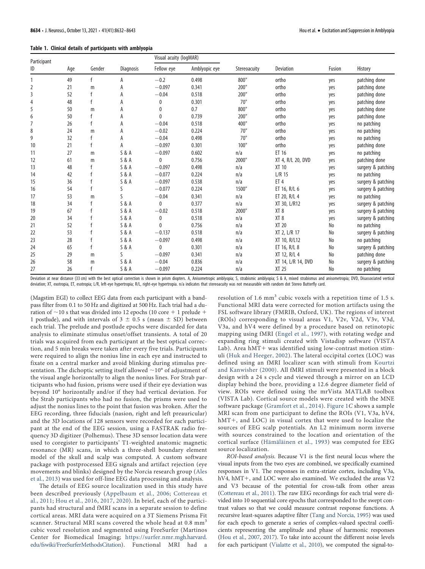# Table 1. Clinical details of participants with amblyopia

| Participant<br>ID | Age | Gender | <b>Diagnosis</b> | Visual acuity (logMAR) |               |              |                    |        |                    |
|-------------------|-----|--------|------------------|------------------------|---------------|--------------|--------------------|--------|--------------------|
|                   |     |        |                  | Fellow eye             | Amblyopic eye | Stereoacuity | <b>Deviation</b>   | Fusion | History            |
|                   | 49  | f      | Α                | $-0.2$                 | 0.498         | 800"         | ortho              | yes    | patching done      |
| 2                 | 21  | m      | А                | $-0.097$               | 0.341         | 200"         | ortho              | yes    | patching done      |
| 3                 | 52  | f      | А                | $-0.04$                | 0.518         | 200"         | ortho              | yes    | patching done      |
| 4                 | 48  | f      | А                | 0                      | 0.301         | 70"          | ortho              | yes    | patching done      |
| 5                 | 50  | m      | А                | 0                      | 0.7           | 800"         | ortho              | yes    | patching done      |
| 6                 | 50  |        | А                | $\mathbf{0}$           | 0.739         | 200"         | ortho              | yes    | patching done      |
|                   | 26  | f      | А                | $-0.04$                | 0.518         | 400"         | ortho              | yes    | no patching        |
| 8                 | 24  | m      | А                | $-0.02$                | 0.224         | 70"          | ortho              | yes    | no patching        |
| 9                 | 32  | f      | А                | $-0.04$                | 0.498         | 70"          | ortho              | yes    | no patching        |
| 10                | 21  | f      | А                | $-0.097$               | 0.301         | 100"         | ortho              | yes    | patching done      |
| 11                | 27  | m      | S & A            | $-0.097$               | 0.602         | n/a          | ET 16              | yes    | no patching        |
| 12                | 61  | m      | S & A            | 0                      | 0.756         | 2000"        | XT 4, R/L 20, DVD  | yes    | patching done      |
| 13                | 48  |        | S & A            | $-0.097$               | 0.498         | n/a          | XT 10              | yes    | surgery & patching |
| 14                | 42  | f      | S & A            | $-0.077$               | 0.224         | n/a          | $L/R$ 15           | yes    | no patching        |
| 15                | 36  |        | S & A            | $-0.097$               | 0.538         | n/a          | ET <sub>4</sub>    | yes    | surgery & patching |
| 16                | 54  | f      | S                | $-0.077$               | 0.224         | 1500"        | ET 16, R/L 6       | yes    | surgery & patching |
| 17                | 53  | m      | ς                | $-0.04$                | 0.341         | n/a          | ET 20, R/L 4       | yes    | no patching        |
| 18                | 34  | f      | S & A            | $\mathbf{0}$           | 0.377         | n/a          | XT 30, L/R12       | yes    | surgery & patching |
| 19                | 67  | f      | S & A            | $-0.02$                | 0.518         | 2000"        | XT <sub>8</sub>    | yes    | surgery & patching |
| 20                | 34  | f      | S & A            | 0                      | 0.518         | n/a          | XT <sub>8</sub>    | yes    | surgery & patching |
| 21                | 52  | f      | S & A            | $\Omega$               | 0.756         | n/a          | XT 20              | No     | no patching        |
| 22                | 53  | f      | S & A            | $-0.137$               | 0.518         | n/a          | XT 2, L/R 17       | No     | surgery & patching |
| 23                | 28  | f      | S & A            | $-0.097$               | 0.498         | n/a          | XT 10, R/L12       | No     | no patching        |
| 24                | 65  | f      | S & A            | $\mathbf{0}$           | 0.301         | n/a          | ET 16, R/L 8       | No     | surgery & patching |
| 25                | 29  | m      | ς                | $-0.097$               | 0.341         | n/a          | XT 12, R/L 4       | No     | patching done      |
| 26                | 58  | m      | S & A            | $-0.04$                | 0.836         | n/a          | XT 14, L/R 14, DVD | No     | surgery & patching |
| 27                | 26  | f      | S & A            | $-0.097$               | 0.224         | n/a          | <b>XT 25</b>       | No     | no patching        |

<span id="page-2-0"></span>Deviation at near distance (33 cm) with the best optical correction is shown in prism diopters. A, Anisometropic amblyopia; S, strabismic amblyopia; S & A, mixed strabismus and anisometropia; DVD, Disassociated vertical deviation; XT, exotropia, ET, esotropia; L/R, left-eye hypertropia; R/L, right-eye hypertropia. n/a indicates that stereoacuity was not measurable with random dot Stereo Butterfly card.

(Magstim EGI) to collect EEG data from each participant with a bandpass filter from 0.1 to 50 Hz and digitized at 500 Hz. Each trial had a duration of  $\sim$ 10 s that was divided into 12 epochs (10 core + 1 prelude + 1 postlude), and with intervals of  $3 \pm 0.5$  s (mean  $\pm$  SD) between each trial. The prelude and postlude epochs were discarded for data analysis to eliminate stimulus onset/offset transients. A total of 20 trials was acquired from each participant at the best optical correction, and 5 min breaks were taken after every five trials. Participants were required to align the nonius line in each eye and instructed to fixate on a central marker and avoid blinking during stimulus presentation. The dichoptic setting itself allowed  $\sim$ 10° of adjustment of the visual angle horizontally to align the nonius lines. For Strab participants who had fusion, prisms were used if their eye deviation was beyond 10° horizontally and/or if they had vertical deviation. For the Strab participants who had no fusion, the prisms were used to adjust the nonius lines to the point that fusion was broken. After the EEG recording, three fiducials (nasion, right and left preauricular) and the 3D locations of 128 sensors were recorded for each participant at the end of the EEG session, using a FASTRAK radio frequency 3D digitizer (Polhemus). These 3D sensor location data were used to coregister to participants' T1-weighted anatomic magnetic resonance (MR) scans, in which a three-shell boundary element model of the skull and scalp was computed. A custom software package with postprocessed EEG signals and artifact rejection (eye movements and blinks) designed by the Norcia research group ([Ales](#page-10-2) [et al., 2013\)](#page-10-2) was used for off-line EEG data processing and analysis.

The details of EEG source localization used in this study have been described previously ([Appelbaum et al., 2006](#page-10-3); [Cottereau et](#page-11-20) [al., 2011](#page-11-20); [Hou et al., 2016,](#page-11-21) [2017,](#page-11-22) [2020](#page-11-19)). In brief, each of the participants had structural and fMRI scans in a separate session to define cortical areas. MRI data were acquired on a 3T Siemens Prisma Fit scanner. Structural MRI scans covered the whole head at 0.8 mm<sup>3</sup> cubic voxel resolution and segmented using FreeSurfer (Martinos Center for Biomedical Imaging; [https://surfer.nmr.mgh.harvard.](https://surfer.nmr.mgh.harvard.edu/fswiki/FreeSurferMethodsCitation) [edu/fswiki/FreeSurferMethodsCitation\)](https://surfer.nmr.mgh.harvard.edu/fswiki/FreeSurferMethodsCitation). Functional MRI had a

resolution of 1.6 mm<sup>3</sup> cubic voxels with a repetition time of 1.5 s. Functional MRI data were corrected for motion artifacts using the FSL software library (FMRIB, Oxford, UK). The regions of interest (ROIs) corresponding to visual areas V1, V2v, V2d, V3v, V3d, V3a, and hV4 were defined by a procedure based on retinotopic mapping using fMRI [\(Engel et al., 1997](#page-11-23)), with rotating wedge and expanding ring stimuli created with Vistadisp software (VISTA Lab). Area  $hMT+$  was identified using low-contrast motion stimuli ([Huk and Heeger, 2002\)](#page-11-24). The lateral occipital cortex (LOC) was defined using an fMRI localizer scan with stimuli from [Kourtzi](#page-11-25) [and Kanwisher \(2000\)](#page-11-25). All fMRI stimuli were presented in a block design with a 24 s cycle and viewed through a mirror on an LCD display behind the bore, providing a 12.6 degree diameter field of view. ROIs were defined using the mrVista MATLAB toolbox (VISTA Lab). Cortical source models were created with the MNE software package ([Gramfort et al., 2014\)](#page-11-26). [Figure 1](#page-3-0)C shows a sample MRI scan from one participant to define the ROIs (V1, V3a, hV4, hMT+, and LOC) in visual cortex that were used to localize the sources of EEG scalp potentials. An L2 minimum norm inverse with sources constrained to the location and orientation of the cortical surface ([Hämäläinen et al., 1993\)](#page-11-27) was computed for EEG source localization.

ROI-based analysis. Because V1 is the first neural locus where the visual inputs from the two eyes are combined, we specifically examined responses in V1. The responses in extra-striate cortex, including V3a, hV4, hMT+, and LOC were also examined. We excluded the areas V2 and V3 because of the potential for cross-talk from other areas ([Cottereau et al., 2011](#page-11-20)). The raw EEG recordings for each trial were divided into 10 sequential core epochs that corresponded to the swept contrast values so that we could measure contrast response functions. A recursive least-squares adaptive filter [\(Tang and Norcia, 1995](#page-11-28)) was used for each epoch to generate a series of complex-valued spectral coefficients representing the amplitude and phase of harmonic responses ([Hou et al., 2007,](#page-11-29) [2017](#page-11-22)). To take into account the different noise levels for each participant ([Vialatte et al., 2010\)](#page-11-30), we computed the signal-to-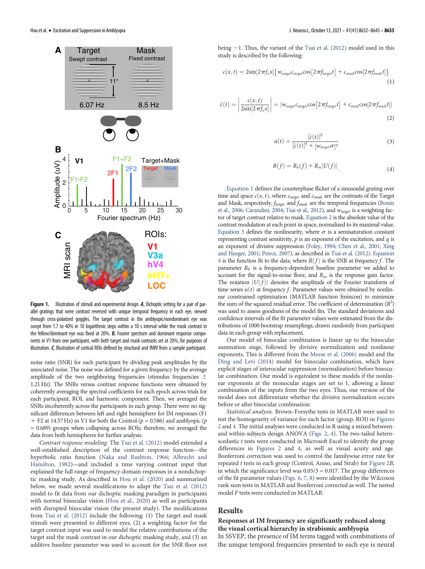

<span id="page-3-0"></span>Figure 1. Illustration of stimuli and experimental design. A, Dichoptic setting for a pair of parallel gratings that were contrast reversed with unique temporal frequency in each eye, viewed through cross-polarized goggles. The target contrast in the amblyopic/nondominant eye was swept from 1.7 to 40% in 10 logarithmic steps within a 10 s interval while the mask contrast in the fellow/dominant eye was fixed at 20%. **B**, Fourier spectrum and dominant response components in V1 from one participant, with both target and mask contrasts set at 20%, for purposes of illustration. C, Illustration of cortical ROIs defined by structural and fMRI from a sample participant.

noise ratio (SNR) for each participant by dividing peak amplitudes by the associated noise. The noise was defined for a given frequency by the average amplitude of the two neighboring frequencies (stimulus frequencies  $\pm$ 1.21 Hz). The SNRs versus contrast response functions were obtained by coherently averaging the spectral coefficients for each epoch across trials for each participant, ROI, and harmonic component. Then, we averaged the SNRs incoherently across the participants in each group. There were no significant differences between left and right hemisphere for IM responses (F1  $+$  F2 at 14.57 Hz) in V1 for both the Control ( $p = 0.586$ ) and amblyopic ( $p = 0.586$ ) = 0.689) groups when collapsing across ROIs; therefore, we averaged the data from both hemispheres for further analysis.

Contrast response modeling. The [Tsai et al. \(2012\)](#page-11-13) model extended a well-established description of the contrast response function—the hyperbolic ratio function ([Naka and Rushton, 1966](#page-11-31); [Albrecht and](#page-10-4) [Hamilton, 1982](#page-10-4))—and included a time varying contrast input that explained the full range of frequency-domain responses in a nondichoptic masking study. As described in [Hou et al. \(2020\)](#page-11-19) and summarized below, we made several modifications to adapt the [Tsai et al. \(2012\)](#page-11-13) model to fit data from our dichoptic masking paradigm in participants with normal binocular vision [\(Hou et al., 2020\)](#page-11-19) as well as participants with disrupted binocular vision (the present study). The modifications from [Tsai et al. \(2012\)](#page-11-13) include the following: (1) The target and mask stimuli were presented to different eyes, (2) a weighting factor for the target contrast input was used to model the relative contributions of the target and the mask contrast in our dichoptic masking study, and (3) an additive baseline parameter was used to account for the SNR floor not

<span id="page-3-1"></span>being  $\sim$  1. Thus, the variant of the [Tsai et al. \(2012\)](#page-11-13) model used in this study is described by the following:

$$
c(x,t) = 2\sin[2\pi f_x x] \{ w_{target} c_{target} \cos[2\pi f_{target} t] + c_{mask} \cos[2\pi f_{mask} t] \}
$$
\n(1)

<span id="page-3-3"></span><span id="page-3-2"></span>
$$
\hat{c}(t) = \left| \frac{c(x, t)}{2\sin[2\pi f_x x]} \right| = |w_{target} c_{target} \cos[2\pi f_{target} t] + c_{mask} \cos[2\pi f_{mask} t]|
$$
\n(2)

$$
u(t) = \frac{[\hat{c}(t)]^p}{[\hat{c}(t)]^q + [w_{target}\sigma]^q}
$$
(3)

$$
R(f) = R_0(f) + R_m |U(f)|.
$$
 (4)

<span id="page-3-4"></span>[Equation 1](#page-3-1) defines the counterphase flicker of a sinusoidal grating over time and space  $c(x, t)$ , where  $c_{target}$  and  $c_{mask}$  are the contrasts of the Target and Mask, respectively,  $f_{target}$  and  $f_{mask}$  are the temporal frequencies [\(Bonin](#page-11-32) [et al., 2006](#page-11-32); [Carandini, 2004;](#page-11-33) [Tsai et al., 2012\)](#page-11-13), and  $w_{target}$  is a weighting factor of target contrast relative to mask. [Equation 2](#page-3-2) is the absolute value of the contrast modulation at each point in space, normalized to its maximal value. [Equation 3](#page-3-3) defines the nonlinearity, where  $\sigma$  is a semisaturation constant representing contrast sensitivity,  $p$  is an exponent of the excitation, and  $q$  is an exponent of divisive suppression [\(Foley, 1994](#page-11-34); [Chen et al., 2001;](#page-11-35) [Xing](#page-11-36) [and Heeger, 2001;](#page-11-36) [Peirce, 2007](#page-11-37)), as described in [Tsai et al. \(2012\).](#page-11-13) [Equation](#page-3-4) [4](#page-3-4) is the function fit to the data, where  $R(f)$  is the SNR at frequency f. The parameter  $R_0$  is a frequency-dependent baseline parameter we added to account for the signal-to-noise floor, and  $R_m$  is the response gain factor. The notation  $|U(f)|$  denotes the amplitude of the Fourier transform of time series  $u(t)$  at frequency f. Parameter values were obtained by nonlinear constrained optimization (MATLAB function fmincon) to minimize the sum of the squared residual error. The coefficient of determination  $(R^2)$ was used to assess goodness of the model fits. The standard deviations and confidence intervals of the fit parameter values were estimated from the distributions of 1000 bootstrap resamplings, drawn randomly from participant data in each group with replacement.

Our model of binocular combination is linear up to the binocular summation stage, followed by divisive normalization and nonlinear exponents. This is different from the [Meese et al. \(2006\)](#page-11-38) model and the [Ding and Levi \(2014\)](#page-11-39) model for binocular combination, which have explicit stages of interocular suppression (normalization) before binocular combination. Our model is equivalent to these models if the nonlinear exponents at the monocular stages are set to 1, allowing a linear combination of the inputs from the two eyes. Thus, our version of the model does not differentiate whether the divisive normalization occurs before or after binocular combination.

Statistical analysis. Brown–Forsythe tests in MATLAB were used to test the homogeneity of variance for each factor (group, ROI) in [Figures](#page-4-0) [2](#page-4-0) and [4.](#page-6-0) The initial analyses were conducted in R using a mixed betweenand within-subjects design ANOVA [\(Figs. 2,](#page-4-0) [4](#page-6-0)). The two-tailed heteroscedastic t tests were conducted in Microsoft Excel to identify the group differences in [Figures 2](#page-4-0) and [4,](#page-6-0) as well as visual acuity and age. Bonferroni correction was used to control the familywise error rate for repeated t tests in each group (Control, Aniso, and Strab) for [Figure 2](#page-4-0)B, in which the significance level was  $0.05/3 = 0.017$ . The group differences of the fit parameter values ([Figs. 6](#page-8-0), [7](#page-8-1), [8](#page-9-0)) were identified by the Wilcoxon rank sum tests in MATLAB and Bonferroni corrected as well. The nested model F tests were conducted in MATLAB.

# Results

# Responses at IM frequency are significantly reduced along the visual cortical hierarchy in strabismic amblyopia

In SSVEP, the presence of IM terms tagged with combinations of the unique temporal frequencies presented to each eye is neural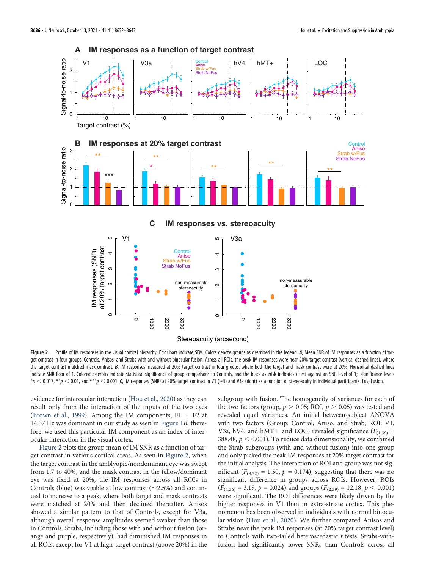

<span id="page-4-0"></span>Figure 2. Profile of IM responses in the visual cortical hierarchy. Error bars indicate SEM. Colors denote groups as described in the legend. A, Mean SNR of IM responses as a function of target contrast in four groups: Controls, Anisos, and Strabs with and without binocular fusion. Across all ROIs, the peak IM responses were near 20% target contrast (vertical dashed lines), where the target contrast matched mask contrast. B, IM responses measured at 20% target contrast in four groups, where both the target and mask contrast were at 20%. Horizontal dashed lines indicate SNR floor of 1. Colored asterisks indicate statistical significance of group comparisons to Controls, and the black asterisk indicates t test against an SNR level of 1; significance levels  $*_p$   $<$  0.017,  $^{**}p$   $<$  0.01, and  $^{***}p$   $<$  0.001. C, IM responses (SNR) at 20% target contrast in V1 (left) and V3a (right) as a function of stereoacuity in individual participants. Fus, Fusion.

Stereoacuity (arcsecond)

 $\circ$ 

 $\circ$ 

1000

2000

3000

evidence for interocular interaction ([Hou et al., 2020](#page-11-19)) as they can result only from the interaction of the inputs of the two eyes [\(Brown et al., 1999\)](#page-11-18). Among the IM components,  $F1 + F2$  at 14.57 Hz was dominant in our study as seen in [Figure 1](#page-3-0)B; therefore, we used this particular IM component as an index of interocular interaction in the visual cortex.

 $\circ$ 

 $\circ$ 

1000

2000

3000

[Figure 2](#page-4-0) plots the group mean of IM SNR as a function of target contrast in various cortical areas. As seen in [Figure 2](#page-4-0), when the target contrast in the amblyopic/nondominant eye was swept from 1.7 to 40%, and the mask contrast in the fellow/dominant eye was fixed at 20%, the IM responses across all ROIs in Controls (blue) was visible at low contrast  $(\sim 2.5\%)$  and continued to increase to a peak, where both target and mask contrasts were matched at 20% and then declined thereafter. Anisos showed a similar pattern to that of Controls, except for V3a, although overall response amplitudes seemed weaker than those in Controls. Strabs, including those with and without fusion (orange and purple, respectively), had diminished IM responses in all ROIs, except for V1 at high-target contrast (above 20%) in the subgroup with fusion. The homogeneity of variances for each of the two factors (group,  $p > 0.05$ ; ROI,  $p > 0.05$ ) was tested and revealed equal variances. An initial between-subject ANOVA with two factors (Group: Control, Aniso, and Strab; ROI: V1, V3a, hV4, and hMT+ and LOC) revealed significance ( $F_{(1,39)}$  = 388.48,  $p < 0.001$ ). To reduce data dimensionality, we combined the Strab subgroups (with and without fusion) into one group and only picked the peak IM responses at 20% target contrast for the initial analysis. The interaction of ROI and group was not significant ( $F_{(8,72)} = 1.50$ ,  $p = 0.174$ ), suggesting that there was no significant difference in groups across ROIs. However, ROIs  $(F_{(4,36)} = 3.19, p = 0.024)$  and groups  $(F_{(2,39)} = 12.18, p < 0.001)$ were significant. The ROI differences were likely driven by the higher responses in V1 than in extra-striate cortex. This phenomenon has been observed in individuals with normal binocular vision [\(Hou et al., 2020](#page-11-19)). We further compared Anisos and Strabs near the peak IM responses (at 20% target contrast level) to Controls with two-tailed heteroscedastic  $t$  tests. Strabs-withfusion had significantly lower SNRs than Controls across all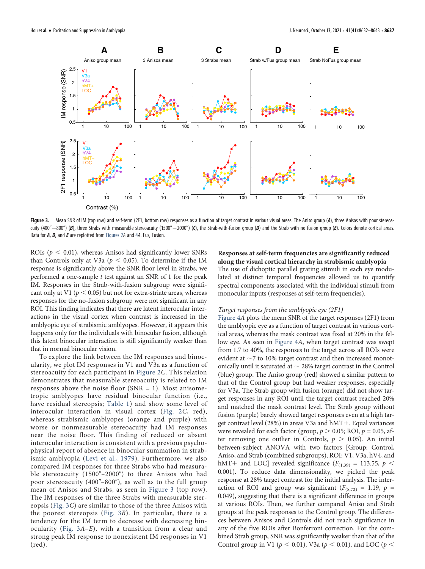

<span id="page-5-0"></span>Figure 3. Mean SNR of IM (top row) and self-term (2F1, bottom row) responses as a function of target contrast in various visual areas. The Aniso group (A), three Anisos with poor stereoacuity (400" $-800$ ") (B), three Strabs with measurable stereoacuity (1500" $-2000$ ") (C), the Strab-with-fusion group (D) and the Strab with no fusion group (E). Colors denote cortical areas. Data for A, D, and E are replotted from [Figures 2](#page-4-0)A and [4](#page-6-0)A. Fus, Fusion.

ROIs ( $p < 0.01$ ), whereas Anisos had significantly lower SNRs than Controls only at V3a ( $p < 0.05$ ). To determine if the IM response is significantly above the SNR floor level in Strabs, we performed a one-sample t test against an SNR of 1 for the peak IM. Responses in the Strab-with-fusion subgroup were significant only at V1 ( $p < 0.05$ ) but not for extra-striate areas, whereas responses for the no-fusion subgroup were not significant in any ROI. This finding indicates that there are latent interocular interactions in the visual cortex when contrast is increased in the amblyopic eye of strabismic amblyopes. However, it appears this happens only for the individuals with binocular fusion, although this latent binocular interaction is still significantly weaker than that in normal binocular vision.

To explore the link between the IM responses and binocularity, we plot IM responses in V1 and V3a as a function of stereoacuity for each participant in [Figure 2](#page-4-0)C. This relation demonstrates that measurable stereoacuity is related to IM responses above the noise floor  $(NR = 1)$ . Most anisometropic amblyopes have residual binocular function (i.e., have residual stereopsis; [Table 1\)](#page-2-0) and show some level of interocular interaction in visual cortex [\(Fig. 2](#page-4-0)C, red), whereas strabismic amblyopes (orange and purple) with worse or nonmeasurable stereoacuity had IM responses near the noise floor. This finding of reduced or absent interocular interaction is consistent with a previous psychophysical report of absence in binocular summation in strabismic amblyopia ([Levi et al., 1979\)](#page-11-10). Furthermore, we also compared IM responses for three Strabs who had measurable stereoacuity  $(1500'' - 2000'')$  to three Anisos who had poor stereoacuity  $(400^{\prime\prime}-800^{\prime\prime})$ , as well as to the full group mean of Anisos and Strabs, as seen in [Figure 3](#page-5-0) (top row). The IM responses of the three Strabs with measurable stereopsis ([Fig. 3](#page-5-0)C) are similar to those of the three Anisos with the poorest stereopsis ([Fig. 3](#page-5-0)B). In particular, there is a tendency for the IM term to decrease with decreasing binocularity ([Fig. 3](#page-5-0)A–E), with a transition from a clear and strong peak IM response to nonexistent IM responses in V1 (red).

Responses at self-term frequencies are significantly reduced along the visual cortical hierarchy in strabismic amblyopia The use of dichoptic parallel grating stimuli in each eye modulated at distinct temporal frequencies allowed us to quantify spectral components associated with the individual stimuli from monocular inputs (responses at self-term frequencies).

#### Target responses from the amblyopic eye (2F1)

[Figure 4](#page-6-0)A plots the mean SNR of the target responses (2F1) from the amblyopic eye as a function of target contrast in various cortical areas, whereas the mask contrast was fixed at 20% in the fellow eye. As seen in [Figure 4](#page-6-0)A, when target contrast was swept from 1.7 to 40%, the responses to the target across all ROIs were evident at  $\sim$ 7 to 10% target contrast and then increased monotonically until it saturated at  $\sim$  28% target contrast in the Control (blue) group. The Aniso group (red) showed a similar pattern to that of the Control group but had weaker responses, especially for V3a. The Strab group with fusion (orange) did not show target responses in any ROI until the target contrast reached 20% and matched the mask contrast level. The Strab group without fusion (purple) barely showed target responses even at a high target contrast level (28%) in areas V3a and  $hMT+$ . Equal variances were revealed for each factor (group,  $p > 0.05$ ; ROI,  $p = 0.05$ , after removing one outlier in Controls,  $p > 0.05$ ). An initial between-subject ANOVA with two factors [Group: Control, Aniso, and Strab (combined subgroups); ROI: V1, V3a, hV4, and hMT+ and LOC] revealed significance ( $F_{(1,39)} = 113.55$ ,  $p <$ 0.001). To reduce data dimensionality, we picked the peak response at 28% target contrast for the initial analysis. The interaction of ROI and group was significant ( $F_{(8,72)} = 1.19$ ,  $p =$ 0.049), suggesting that there is a significant difference in groups at various ROIs. Then, we further compared Aniso and Strab groups at the peak responses to the Control group. The differences between Anisos and Controls did not reach significance in any of the five ROIs after Bonferroni correction. For the combined Strab group, SNR was significantly weaker than that of the Control group in V1 ( $p < 0.01$ ), V3a ( $p < 0.01$ ), and LOC ( $p <$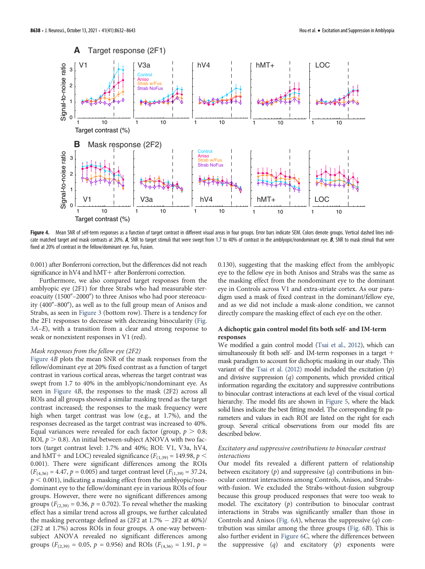

<span id="page-6-0"></span>Figure 4. Mean SNR of self-term responses as a function of target contrast in different visual areas in four groups. Error bars indicate SEM. Colors denote groups. Vertical dashed lines indicate matched target and mask contrasts at 20%. A, SNR to target stimuli that were swept from 1.7 to 40% of contrast in the amblyopic/nondominant eye. B, SNR to mask stimuli that were fixed at 20% of contrast in the fellow/dominant eye. Fus, Fusion.

0.001) after Bonferroni correction, but the differences did not reach significance in  $hV4$  and  $hMT+$  after Bonferroni correction.

Furthermore, we also compared target responses from the amblyopic eye (2F1) for three Strabs who had measurable stereoacuity  $(1500'' - 2000'')$  to three Anisos who had poor stereoacuity  $(400^{\prime\prime}-800^{\prime\prime})$ , as well as to the full group mean of Anisos and Strabs, as seen in [Figure 3](#page-5-0) (bottom row). There is a tendency for the 2F1 responses to decrease with decreasing binocularity [\(Fig.](#page-5-0) [3](#page-5-0)A–E), with a transition from a clear and strong response to weak or nonexistent responses in V1 (red).

#### Mask responses from the fellow eye (2F2)

[Figure 4](#page-6-0)B plots the mean SNR of the mask responses from the fellow/dominant eye at 20% fixed contrast as a function of target contrast in various cortical areas, whereas the target contrast was swept from 1.7 to 40% in the amblyopic/nondominant eye. As seen in [Figure 4](#page-6-0)B, the responses to the mask (2F2) across all ROIs and all groups showed a similar masking trend as the target contrast increased; the responses to the mask frequency were high when target contrast was low (e.g., at 1.7%), and the responses decreased as the target contrast was increased to 40%. Equal variances were revealed for each factor (group,  $p > 0.8$ ; ROI,  $p > 0.8$ ). An initial between-subject ANOVA with two factors (target contrast level: 1.7% and 40%; ROI: V1, V3a, hV4, and hMT+ and LOC) revealed significance ( $F_{(1,39)}$  = 149.98,  $p$  < 0.001). There were significant differences among the ROIs  $(F_{(4,36)} = 4.47, p = 0.005)$  and target contrast level  $(F_{(1,39)} = 37.24,$  $p < 0.001$ ), indicating a masking effect from the amblyopic/nondominant eye to the fellow/dominant eye in various ROIs of four groups. However, there were no significant differences among groups ( $F_{(2,39)} = 0.36$ ,  $p = 0.702$ ). To reveal whether the masking effect has a similar trend across all groups, we further calculated the masking percentage defined as  $(2F2 \text{ at } 1.7\% - 2F2 \text{ at } 40\%)$ / (2F2 at 1.7%) across ROIs in four groups. A one-way betweensubject ANOVA revealed no significant differences among groups ( $F_{(2,39)} = 0.05$ ,  $p = 0.956$ ) and ROIs ( $F_{(4,36)} = 1.91$ ,  $p =$ 

0.130), suggesting that the masking effect from the amblyopic eye to the fellow eye in both Anisos and Strabs was the same as the masking effect from the nondominant eye to the dominant eye in Controls across V1 and extra-striate cortex. As our paradigm used a mask of fixed contrast in the dominant/fellow eye, and as we did not include a mask-alone condition, we cannot directly compare the masking effect of each eye on the other.

# A dichoptic gain control model fits both self- and IM-term responses

We modified a gain control model [\(Tsai et al., 2012](#page-11-13)), which can simultaneously fit both self- and IM-term responses in a target  $+$ mask paradigm to account for dichoptic masking in our study. This variant of the [Tsai et al. \(2012\)](#page-11-13) model included the excitation  $(p)$ and divisive suppression  $(q)$  components, which provided critical information regarding the excitatory and suppressive contributions to binocular contrast interactions at each level of the visual cortical hierarchy. The model fits are shown in [Figure 5](#page-7-0), where the black solid lines indicate the best fitting model. The corresponding fit parameters and values in each ROI are listed on the right for each group. Several critical observations from our model fits are described below.

#### Excitatory and suppressive contributions to binocular contrast interactions

Our model fits revealed a different pattern of relationship between excitatory  $(p)$  and suppressive  $(q)$  contributions in binocular contrast interactions among Controls, Anisos, and Strabswith-fusion. We excluded the Strabs-without-fusion subgroup because this group produced responses that were too weak to model. The excitatory  $(p)$  contribution to binocular contrast interactions in Strabs was significantly smaller than those in Controls and Anisos ([Fig. 6](#page-8-0)A), whereas the suppressive (q) contribution was similar among the three groups ([Fig. 6](#page-8-0)B). This is also further evident in [Figure 6](#page-8-0)C, where the differences between the suppressive  $(q)$  and excitatory  $(p)$  exponents were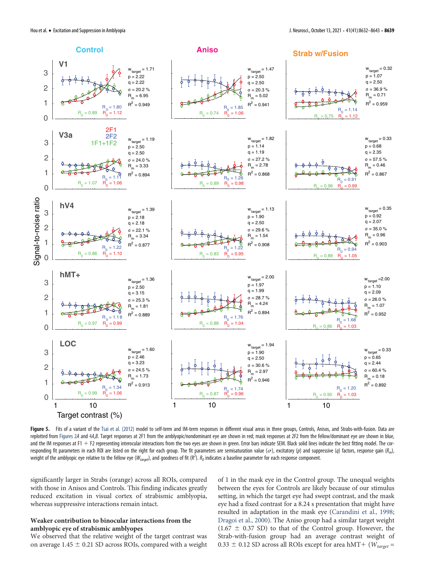

<span id="page-7-0"></span>Figure 5. Fits of a variant of the [Tsai et al. \(2012\)](#page-11-13) model to self-term and IM-term responses in different visual areas in three groups, Controls, Anisos, and Strabs-with-fusion. Data are replotted from [Figures 2](#page-4-0)A and [4](#page-6-0)A,B. Target responses at 2F1 from the amblyopic/nondominant eye are shown in red; mask responses at 2F2 from the fellow/dominant eye are shown in blue, and the IM responses at  $F1 + F2$  representing interocular interactions from the two eyes are shown in green. Error bars indicate SEM. Black solid lines indicate the best fitting model. The corresponding fit parameters in each ROI are listed on the right for each group. The fit parameters are semisaturation value ( $\sigma$ ), excitatory (p) and suppressive (q) factors, response gain (R<sub>m</sub>), weight of the amblyopic eye relative to the fellow eye ( $W_{target}$ ), and goodness of fit ( $R^2$ ).  $R_0$  indicates a baseline parameter for each response component.

significantly larger in Strabs (orange) across all ROIs, compared with those in Anisos and Controls. This finding indicates greatly reduced excitation in visual cortex of strabismic amblyopia, whereas suppressive interactions remain intact.

# Weaker contribution to binocular interactions from the amblyopic eye of strabismic amblyopes

We observed that the relative weight of the target contrast was on average  $1.45 \pm 0.21$  SD across ROIs, compared with a weight of 1 in the mask eye in the Control group. The unequal weights between the eyes for Controls are likely because of our stimulus setting, in which the target eye had swept contrast, and the mask eye had a fixed contrast for a 8.24 s presentation that might have resulted in adaptation in the mask eye ([Carandini et al., 1998;](#page-11-40) [Dragoi et al., 2000\)](#page-11-41). The Aniso group had a similar target weight  $(1.67 \pm 0.37$  SD) to that of the Control group. However, the Strab-with-fusion group had an average contrast weight of 0.33  $\pm$  0.12 SD across all ROIs except for area hMT+ ( $W_{target}$  =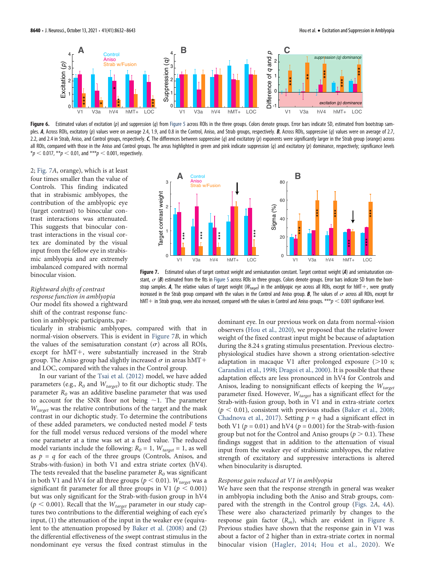

<span id="page-8-0"></span>Figure 6. Estimated values of excitation (p) and suppression (q) from [Figure 5](#page-7-0) across ROIs in the three groups. Colors denote groups. Error bars indicate SD, estimated from bootstrap samples. A, Across ROIs, excitatory (p) values were on average 2.4, 1.9, and 0.8 in the Control, Aniso, and Strab groups, respectively. B, Across ROIs, suppressive (q) values were on average of 2.7, 2.2, and 2.4 in Strab, Aniso, and Control groups, respectively. C, The differences between suppressive (q) and excitatory (p) exponents were significantly larger in the Strab group (orange) across all ROIs, compared with those in the Aniso and Control groups. The areas highlighted in green and pink indicate suppression (q) and excitatory (p) dominance, respectively; significance levels  $*_{p}$  < 0.017,  $*_{p}$  < 0.01, and  $*_{p}$  < 0.001, respectively.

2; [Fig. 7](#page-8-1)A, orange), which is at least four times smaller than the value of Controls. This finding indicated that in strabismic amblyopes, the contribution of the amblyopic eye (target contrast) to binocular contrast interactions was attenuated. This suggests that binocular contrast interactions in the visual cortex are dominated by the visual input from the fellow eye in strabismic amblyopia and are extremely imbalanced compared with normal binocular vision.

# Rightward shifts of contrast

Our model fits showed a rightward shift of the contrast response function in amblyopic participants, par-

# response function in amblyopia

ticularly in strabismic amblyopes, compared with that in normal-vision observers. This is evident in [Figure 7](#page-8-1)B, in which

the values of the semisaturation constant  $(\sigma)$  across all ROIs, except for  $hMT+$ , were substantially increased in the Strab group. The Aniso group had slightly increased  $\sigma$  in areas hMT+ and LOC, compared with the values in the Control group.

In our variant of the [Tsai et al. \(2012\)](#page-11-13) model, we have added parameters (e.g.,  $R_0$  and  $W_{target}$ ) to fit our dichoptic study. The parameter  $R_0$  was an additive baseline parameter that was used to account for the SNR floor not being  $\sim$ 1. The parameter  $W_{target}$  was the relative contributions of the target and the mask contrast in our dichoptic study. To determine the contributions of these added parameters, we conducted nested model F tests for the full model versus reduced versions of the model where one parameter at a time was set at a fixed value. The reduced model variants include the following:  $R_0 = 1$ ,  $W_{target} = 1$ , as well as  $p = q$  for each of the three groups (Controls, Anisos, and Strabs-with-fusion) in both V1 and extra striate cortex (hV4). The tests revealed that the baseline parameter  $R_0$  was significant in both V1 and hV4 for all three groups ( $p < 0.01$ ).  $W_{target}$  was a significant fit parameter for all three groups in V1 ( $p \le 0.001$ ) but was only significant for the Strab-with-fusion group in hV4 ( $p < 0.001$ ). Recall that the  $W_{target}$  parameter in our study captures two contributions to the differential weighing of each eye's input, (1) the attenuation of the input in the weaker eye (equivalent to the attenuation proposed by [Baker et al. \(2008\)](#page-10-1) and (2) the differential effectiveness of the swept contrast stimulus in the nondominant eye versus the fixed contrast stimulus in the



<span id="page-8-1"></span>Figure 7. Estimated values of target contrast weight and semisaturation constant. Target contrast weight (A) and semisaturation constant,  $\sigma$  (B) estimated from the fits in [Figure 5](#page-7-0) across ROIs in three groups. Colors denote groups. Error bars indicate SD from the bootstrap samples. A, The relative values of target weight ( $W_{target}$ ) in the amblyopic eye across all ROIs, except for hMT+, were greatly increased in the Strab group compared with the values in the Control and Aniso group.  $B$ , The values of  $\sigma$  across all ROIs, except for  $h$ MT + in Strab group, were also increased, compared with the values in Control and Aniso groups. \*\*\* $p < 0.001$  significance level.

dominant eye. In our previous work on data from normal-vision observers [\(Hou et al., 2020](#page-11-19)), we proposed that the relative lower weight of the fixed contrast input might be because of adaptation during the 8.24 s grating stimulus presentation. Previous electrophysiological studies have shown a strong orientation-selective adaptation in macaque V1 after prolonged exposure  $(>10 \text{ s};$ [Carandini et al., 1998;](#page-11-40) [Dragoi et al., 2000](#page-11-41)). It is possible that these adaptation effects are less pronounced in hV4 for Controls and Anisos, leading to nonsignificant effects of keeping the  $W_{target}$ parameter fixed. However,  $W_{target}$  has a significant effect for the Strab-with-fusion group, both in V1 and in extra-striate cortex  $(p < 0.01)$ , consistent with previous studies [\(Baker et al., 2008;](#page-10-1) [Chadnova et al., 2017](#page-11-15)). Setting  $p = q$  had a significant effect in both V1 ( $p = 0.01$ ) and hV4 ( $p = 0.001$ ) for the Strab-with-fusion group but not for the Control and Aniso groups ( $p > 0.1$ ). These findings suggest that in addition to the attenuation of visual input from the weaker eye of strabismic amblyopes, the relative strength of excitatory and suppressive interactions is altered when binocularity is disrupted. Binocular vision and semisation of the main semisation of the method of the semisation of the semisation of the semisation of the semisation of the semisation of the semisation of the semisation of the semisation of the s

# Response gain reduced at V1 in amblyopia

We have seen that the response strength in general was weaker in amblyopia including both the Aniso and Strab groups, compared with the strength in the Control group [\(Figs. 2](#page-4-0)A, [4](#page-6-0)A). These were also characterized primarily by changes to the response gain factor  $(R_m)$ , which are evident in [Figure 8.](#page-9-0) Previous studies have shown that the response gain in V1 was about a factor of 2 higher than in extra-striate cortex in normal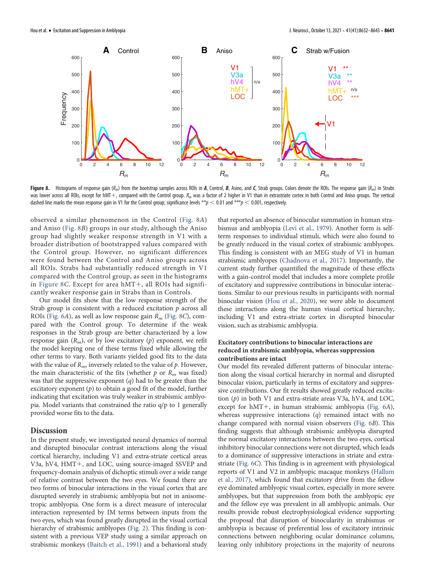

<span id="page-9-0"></span>Figure 8. Histograms of response gain  $(R_m)$  from the bootstrap samples across ROIs in A, Control, B, Asino, and C, Strab groups. Colors denote the ROIs. The response gain  $(R_m)$  in Strabs was lower across all ROIs, except for hMT+, compared with the Control group.  $R_m$  was a factor of 2 higher in V1 than in extrastriate cortex in both Control and Aniso groups. The vertical dashed line marks the mean response gain in V1 for the Control group; significance levels \*\*p < 0.01 and \*\*\*p < 0.001, respectively.

observed a similar phenomenon in the Control ([Fig. 8](#page-9-0)A) and Aniso [\(Fig. 8](#page-9-0)B) groups in our study, although the Aniso group had slightly weaker response strength in V1 with a broader distribution of bootstrapped values compared with the Control group. However, no significant differences were found between the Control and Aniso groups across all ROIs. Strabs had substantially reduced strength in V1 compared with the Control group, as seen in the histograms in [Figure 8](#page-9-0)C. Except for area  $hMT+$ , all ROIs had significantly weaker response gain in Strabs than in Controls.

Our model fits show that the low response strength of the Strab group is consistent with a reduced excitation  $p$  across all ROIs [\(Fig. 6](#page-8-0)A), as well as low response gain  $R_m$  ([Fig. 8](#page-9-0)C), compared with the Control group. To determine if the weak responses in the Strab group are better characterized by a low response gain  $(R_m)$ , or by low excitatory  $(p)$  exponent, we refit the model keeping one of these terms fixed while allowing the other terms to vary. Both variants yielded good fits to the data with the value of  $R_m$ , inversely related to the value of  $p$ . However, the main characteristic of the fits (whether  $p$  or  $R_m$  was fixed) was that the suppressive exponent  $(q)$  had to be greater than the excitatory exponent  $(p)$  to obtain a good fit of the model, further indicating that excitation was truly weaker in strabismic amblyopia. Model variants that constrained the ratio q/p to 1 generally provided worse fits to the data.

# Discussion

In the present study, we investigated neural dynamics of normal and disrupted binocular contrast interactions along the visual cortical hierarchy, including V1 and extra-striate cortical areas V3a, hV4, HMT+, and LOC, using source-imaged SSVEP and frequency-domain analysis of dichoptic stimuli over a wide range of relative contrast between the two eyes. We found there are two forms of binocular interactions in the visual cortex that are disrupted severely in strabismic amblyopia but not in anisometropic amblyopia. One form is a direct measure of interocular interaction represented by IM terms between inputs from the two eyes, which was found greatly disrupted in the visual cortical hierarchy of strabismic amblyopes [\(Fig. 2\)](#page-4-0). This finding is consistent with a previous VEP study using a similar approach on strabismic monkeys [\(Baitch et al., 1991\)](#page-10-5) and a behavioral study that reported an absence of binocular summation in human strabismus and amblyopia ([Levi et al., 1979](#page-11-10)). Another form is selfterm responses to individual stimuli, which were also found to be greatly reduced in the visual cortex of strabismic amblyopes. This finding is consistent with an MEG study of V1 in human strabismic amblyopes [\(Chadnova et al., 2017\)](#page-11-15). Importantly, the current study further quantified the magnitude of these effects with a gain-control model that includes a more complete profile of excitatory and suppressive contributions in binocular interactions. Similar to our previous results in participants with normal binocular vision [\(Hou et al., 2020](#page-11-19)), we were able to document these interactions along the human visual cortical hierarchy, including V1 and extra-striate cortex in disrupted binocular vision, such as strabismic amblyopia.

## Excitatory contributions to binocular interactions are reduced in strabismic amblyopia, whereas suppression contributions are intact

Our model fits revealed different patterns of binocular interaction along the visual cortical hierarchy in normal and disrupted binocular vision, particularly in terms of excitatory and suppressive contributions. Our fit results showed greatly reduced excitation (p) in both V1 and extra-striate areas V3a, hV4, and LOC, except for  $hMT+$ , in human strabismic amblyopia ([Fig. 6](#page-8-0)A), whereas suppressive interactions  $(q)$  remained intact with no change compared with normal vision observers [\(Fig. 6](#page-8-0)B). This finding suggests that although strabismic amblyopia disrupted the normal excitatory interactions between the two eyes, cortical inhibitory binocular connections were not disrupted, which leads to a dominance of suppressive interactions in striate and extrastriate ([Fig. 6](#page-8-0)C). This finding is in agreement with physiological reports of V1 and V2 in amblyopic macaque monkeys [\(Hallum](#page-11-43) [et al., 2017](#page-11-43)), which found that excitatory drive from the fellow eye dominated amblyopic visual cortex, especially in more severe amblyopes, but that suppression from both the amblyopic eye and the fellow eye was prevalent in all amblyopic animals. Our results provide robust electrophysiological evidence supporting the proposal that disruption of binocularity in strabismus or amblyopia is because of preferential loss of excitatory intrinsic connections between neighboring ocular dominance columns, leaving only inhibitory projections in the majority of neurons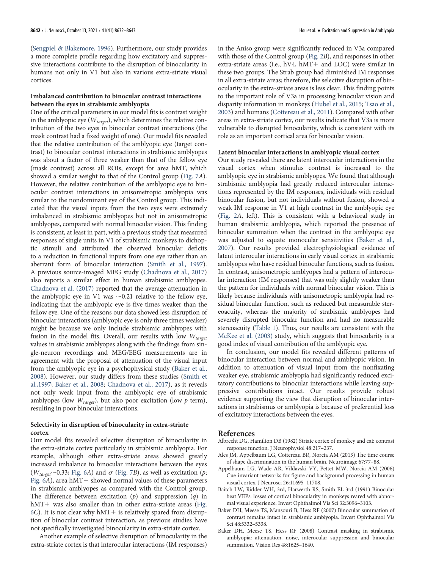[\(Sengpiel & Blakemore, 1996](#page-11-12)). Furthermore, our study provides a more complete profile regarding how excitatory and suppressive interactions contribute to the disruption of binocularity in humans not only in V1 but also in various extra-striate visual cortices.

#### Imbalanced contribution to binocular contrast interactions between the eyes in strabismic amblyopia

One of the critical parameters in our model fits is contrast weight in the amblyopic eye ( $W_{target}$ ), which determines the relative contribution of the two eyes in binocular contrast interactions (the mask contrast had a fixed weight of one). Our model fits revealed that the relative contribution of the amblyopic eye (target contrast) to binocular contrast interactions in strabismic amblyopes was about a factor of three weaker than that of the fellow eye (mask contrast) across all ROIs, except for area hMT, which showed a similar weight to that of the Control group [\(Fig. 7](#page-8-1)A). However, the relative contribution of the amblyopic eye to binocular contrast interactions in anisometropic amblyopia was similar to the nondominant eye of the Control group. This indicated that the visual inputs from the two eyes were extremely imbalanced in strabismic amblyopes but not in anisometropic amblyopes, compared with normal binocular vision. This finding is consistent, at least in part, with a previous study that measured responses of single units in V1 of strabismic monkeys to dichoptic stimuli and attributed the observed binocular deficits to a reduction in functional inputs from one eye rather than an aberrant form of binocular interaction [\(Smith et al., 1997\)](#page-11-44). A previous source-imaged MEG study [\(Chadnova et al., 2017\)](#page-11-15) also reports a similar effect in human strabismic amblyopes. [Chadnova et al. \(2017\)](#page-11-15) reported that the average attenuation in the amblyopic eye in V1 was  $\sim$ 0.21 relative to the fellow eye, indicating that the amblyopic eye is five times weaker than the fellow eye. One of the reasons our data showed less disruption of binocular interactions (amblyopic eye is only three times weaker) might be because we only include strabismic amblyopes with fusion in the model fits. Overall, our results with low  $W_{target}$ values in strabismic amblyopes along with the findings from single-neuron recordings and MEG/EEG measurements are in agreement with the proposal of attenuation of the visual input from the amblyopic eye in a psychophysical study ([Baker et al.,](#page-10-1) [2008\)](#page-10-1). However, our study differs from these studies [\(Smith et](#page-11-44) [al.,1997](#page-11-44); [Baker et al., 2008;](#page-10-1) [Chadnova et al., 2017\)](#page-11-15), as it reveals not only weak input from the amblyopic eye of strabismic amblyopes (low  $W_{target}$ ), but also poor excitation (low  $p$  term), resulting in poor binocular interactions.

## Selectivity in disruption of binocularity in extra-striate cortex

Our model fits revealed selective disruption of binocularity in the extra-striate cortex particularly in strabismic amblyopia. For example, although other extra-striate areas showed greatly increased imbalance to binocular interactions between the eyes ( $W_{target}$ ~0.33; [Fig. 6](#page-8-0)A) and  $\sigma$  ([Fig. 7](#page-8-1)B), as well as excitation (p; Fig.  $6A$ ), area hMT+ showed normal values of these parameters in strabismic amblyopes as compared with the Control group. The difference between excitation  $(p)$  and suppression  $(q)$  in  $hMT+$  was also smaller than in other extra-striate areas [\(Fig.](#page-8-0) [6](#page-8-0)C). It is not clear why  $hMT+$  is relatively spared from disruption of binocular contrast interaction, as previous studies have not specifically investigated binocularity in extra-striate cortex.

Another example of selective disruption of binocularity in the extra-striate cortex is that interocular interactions (IM responses)

in the Aniso group were significantly reduced in V3a compared with those of the Control group ([Fig. 2](#page-4-0)B), and responses in other extra-striate areas (i.e.,  $hV4$ ,  $hMT+$  and LOC) were similar in these two groups. The Strab group had diminished IM responses in all extra-striate areas; therefore, the selective disruption of binocularity in the extra-striate areas is less clear. This finding points to the important role of V3a in processing binocular vision and disparity information in monkeys [\(Hubel et al., 2015](#page-11-45); [Tsao et al.,](#page-11-46) [2003\)](#page-11-46) and humans [\(Cottereau et al., 2011](#page-11-20)). Compared with other areas in extra-striate cortex, our results indicate that V3a is more vulnerable to disrupted binocularity, which is consistent with its role as an important cortical area for binocular vision.

#### Latent binocular interactions in amblyopic visual cortex

Our study revealed there are latent interocular interactions in the visual cortex when stimulus contrast is increased to the amblyopic eye in strabismic amblyopes. We found that although strabismic amblyopia had greatly reduced interocular interactions represented by the IM responses, individuals with residual binocular fusion, but not individuals without fusion, showed a weak IM response in V1 at high contrast in the amblyopic eye [\(Fig. 2](#page-4-0)A, left). This is consistent with a behavioral study in human strabismic amblyopia, which reported the presence of binocular summation when the contrast in the amblyopic eye was adjusted to equate monocular sensitivities [\(Baker et al.,](#page-10-0) [2007\)](#page-10-0). Our results provided electrophysiological evidence of latent interocular interactions in early visual cortex in strabismic amblyopes who have residual binocular functions, such as fusion. In contrast, anisometropic amblyopes had a pattern of interocular interaction (IM responses) that was only slightly weaker than the pattern for individuals with normal binocular vision. This is likely because individuals with anisometropic amblyopia had residual binocular function, such as reduced but measurable stereoacuity, whereas the majority of strabismic amblyopes had severely disrupted binocular function and had no measurable stereoacuity [\(Table 1\)](#page-2-0). Thus, our results are consistent with the [McKee et al. \(2003\)](#page-11-47) study, which suggests that binocularity is a good index of visual contribution of the amblyopic eye.

In conclusion, our model fits revealed different patterns of binocular interaction between normal and amblyopic vision. In addition to attenuation of visual input from the nonfixating weaker eye, strabismic amblyopia had significantly reduced excitatory contributions to binocular interactions while leaving suppressive contributions intact. Our results provide robust evidence supporting the view that disruption of binocular interactions in strabismus or amblyopia is because of preferential loss of excitatory interactions between the eyes.

#### References

- <span id="page-10-4"></span>Albrecht DG, Hamilton DB (1982) Striate cortex of monkey and cat: contrast response function. J Neurophysiol 48:217–237.
- <span id="page-10-2"></span>Ales JM, Appelbaum LG, Cottereau BR, Norcia AM (2013) The time course of shape discrimination in the human brain. Neuroimage 67:77–88.
- <span id="page-10-3"></span>Appelbaum LG, Wade AR, Vildavski VY, Pettet MW, Norcia AM (2006) Cue-invariant networks for figure and background processing in human visual cortex. J Neurosci 26:11695–11708.
- <span id="page-10-5"></span>Baitch LW, Ridder WH, 3rd, Harwerth RS, Smith EL 3rd (1991) Binocular beat VEPs: losses of cortical binocularity in monkeys reared with abnormal visual experience. Invest Ophthalmol Vis Sci 32:3096–3103.
- <span id="page-10-0"></span>Baker DH, Meese TS, Mansouri B, Hess RF (2007) Binocular summation of contrast remains intact in strabismic amblyopia. Invest Ophthalmol Vis Sci 48:5332–5338.
- <span id="page-10-1"></span>Baker DH, Meese TS, Hess RF (2008) Contrast masking in strabismic amblyopia: attenuation, noise, interocular suppression and binocular summation. Vision Res 48:1625–1640.